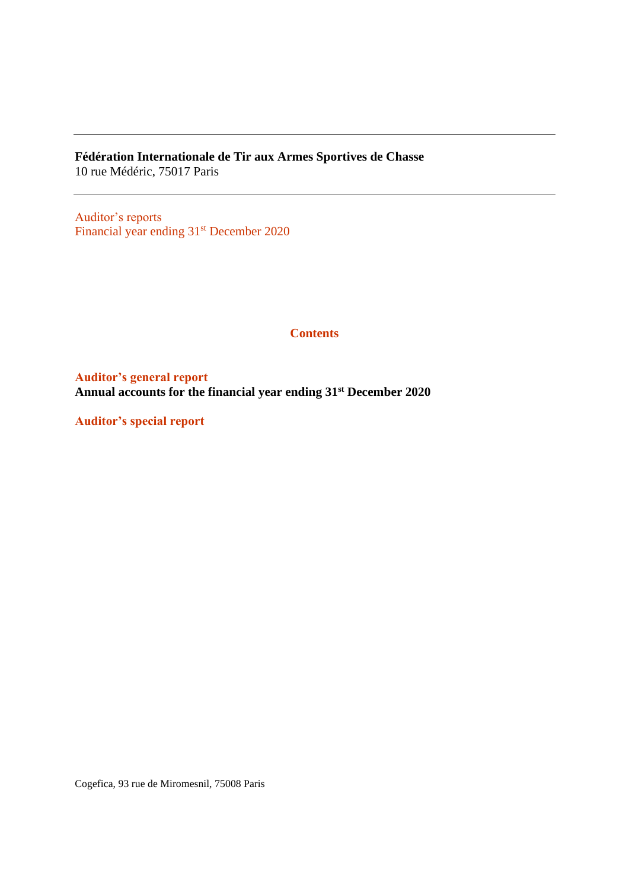**Fédération Internationale de Tir aux Armes Sportives de Chasse** 10 rue Médéric, 75017 Paris

Auditor's reports Financial year ending 31<sup>st</sup> December 2020

### **Contents**

**Auditor's general report Annual accounts for the financial year ending 31st December 2020**

**Auditor's special report**

Cogefica, 93 rue de Miromesnil, 75008 Paris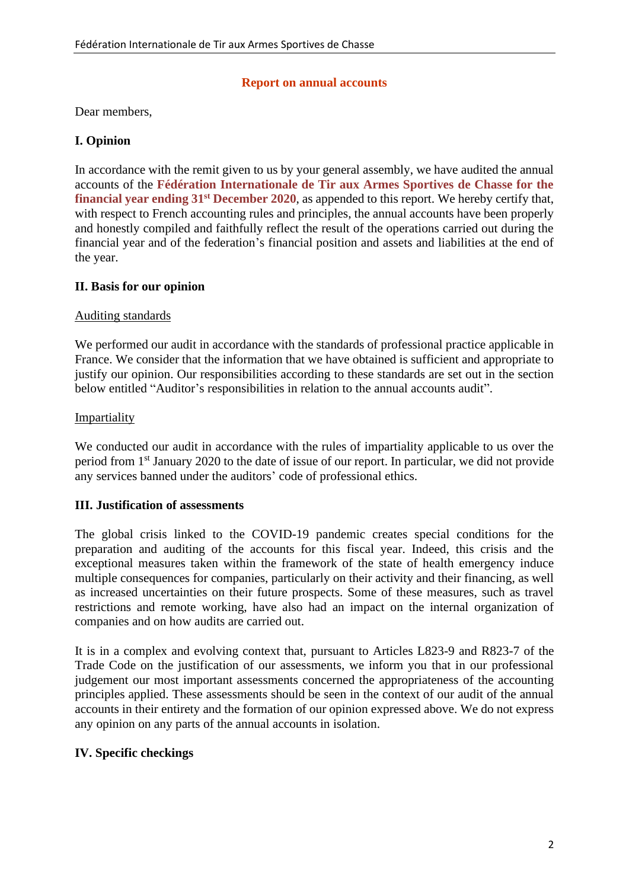### **Report on annual accounts**

Dear members,

## **I. Opinion**

In accordance with the remit given to us by your general assembly, we have audited the annual accounts of the **Fédération Internationale de Tir aux Armes Sportives de Chasse for the financial year ending 31st December 2020**, as appended to this report. We hereby certify that, with respect to French accounting rules and principles, the annual accounts have been properly and honestly compiled and faithfully reflect the result of the operations carried out during the financial year and of the federation's financial position and assets and liabilities at the end of the year.

# **II. Basis for our opinion**

## Auditing standards

We performed our audit in accordance with the standards of professional practice applicable in France. We consider that the information that we have obtained is sufficient and appropriate to justify our opinion. Our responsibilities according to these standards are set out in the section below entitled "Auditor's responsibilities in relation to the annual accounts audit".

## Impartiality

We conducted our audit in accordance with the rules of impartiality applicable to us over the period from 1st January 2020 to the date of issue of our report. In particular, we did not provide any services banned under the auditors' code of professional ethics.

## **III. Justification of assessments**

The global crisis linked to the COVID-19 pandemic creates special conditions for the preparation and auditing of the accounts for this fiscal year. Indeed, this crisis and the exceptional measures taken within the framework of the state of health emergency induce multiple consequences for companies, particularly on their activity and their financing, as well as increased uncertainties on their future prospects. Some of these measures, such as travel restrictions and remote working, have also had an impact on the internal organization of companies and on how audits are carried out.

It is in a complex and evolving context that, pursuant to Articles L823-9 and R823-7 of the Trade Code on the justification of our assessments, we inform you that in our professional judgement our most important assessments concerned the appropriateness of the accounting principles applied. These assessments should be seen in the context of our audit of the annual accounts in their entirety and the formation of our opinion expressed above. We do not express any opinion on any parts of the annual accounts in isolation.

## **IV. Specific checkings**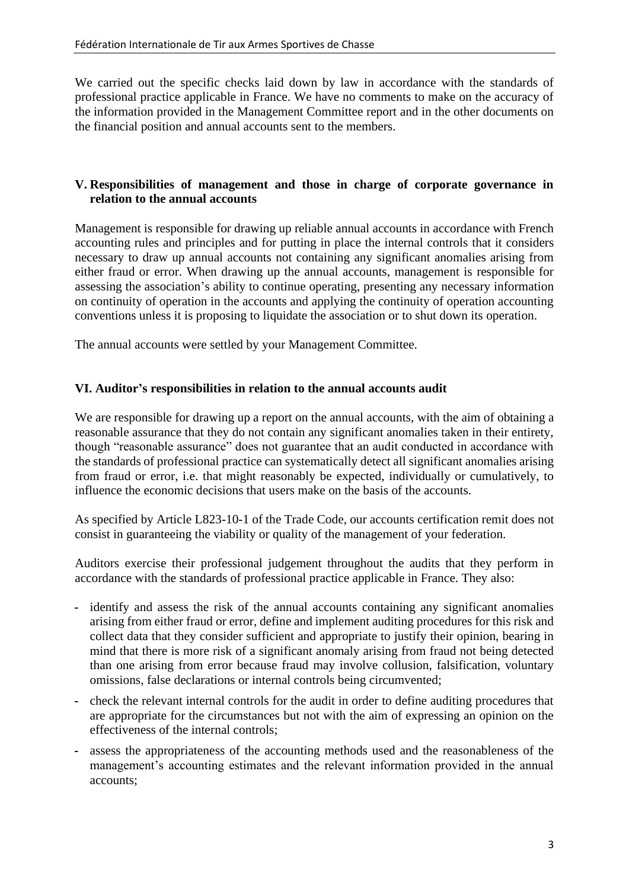We carried out the specific checks laid down by law in accordance with the standards of professional practice applicable in France. We have no comments to make on the accuracy of the information provided in the Management Committee report and in the other documents on the financial position and annual accounts sent to the members.

### **V. Responsibilities of management and those in charge of corporate governance in relation to the annual accounts**

Management is responsible for drawing up reliable annual accounts in accordance with French accounting rules and principles and for putting in place the internal controls that it considers necessary to draw up annual accounts not containing any significant anomalies arising from either fraud or error. When drawing up the annual accounts, management is responsible for assessing the association's ability to continue operating, presenting any necessary information on continuity of operation in the accounts and applying the continuity of operation accounting conventions unless it is proposing to liquidate the association or to shut down its operation.

The annual accounts were settled by your Management Committee.

## **VI. Auditor's responsibilities in relation to the annual accounts audit**

We are responsible for drawing up a report on the annual accounts, with the aim of obtaining a reasonable assurance that they do not contain any significant anomalies taken in their entirety, though "reasonable assurance" does not guarantee that an audit conducted in accordance with the standards of professional practice can systematically detect all significant anomalies arising from fraud or error, i.e. that might reasonably be expected, individually or cumulatively, to influence the economic decisions that users make on the basis of the accounts.

As specified by Article L823-10-1 of the Trade Code, our accounts certification remit does not consist in guaranteeing the viability or quality of the management of your federation.

Auditors exercise their professional judgement throughout the audits that they perform in accordance with the standards of professional practice applicable in France. They also:

- **-** identify and assess the risk of the annual accounts containing any significant anomalies arising from either fraud or error, define and implement auditing procedures for this risk and collect data that they consider sufficient and appropriate to justify their opinion, bearing in mind that there is more risk of a significant anomaly arising from fraud not being detected than one arising from error because fraud may involve collusion, falsification, voluntary omissions, false declarations or internal controls being circumvented;
- **-** check the relevant internal controls for the audit in order to define auditing procedures that are appropriate for the circumstances but not with the aim of expressing an opinion on the effectiveness of the internal controls;
- **-** assess the appropriateness of the accounting methods used and the reasonableness of the management's accounting estimates and the relevant information provided in the annual accounts;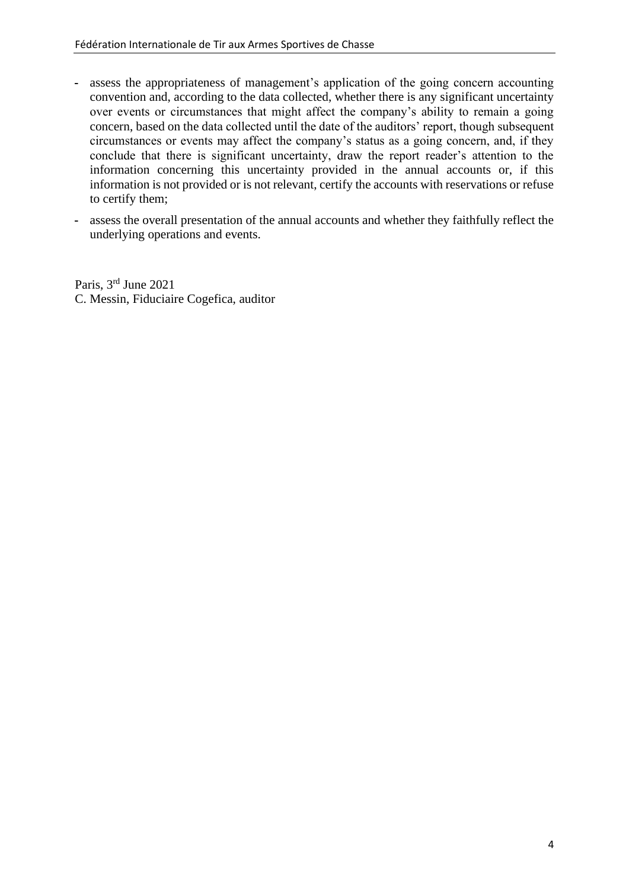- **-** assess the appropriateness of management's application of the going concern accounting convention and, according to the data collected, whether there is any significant uncertainty over events or circumstances that might affect the company's ability to remain a going concern, based on the data collected until the date of the auditors' report, though subsequent circumstances or events may affect the company's status as a going concern, and, if they conclude that there is significant uncertainty, draw the report reader's attention to the information concerning this uncertainty provided in the annual accounts or, if this information is not provided or is not relevant, certify the accounts with reservations or refuse to certify them;
- **-** assess the overall presentation of the annual accounts and whether they faithfully reflect the underlying operations and events.

Paris, 3<sup>rd</sup> June 2021 C. Messin, Fiduciaire Cogefica, auditor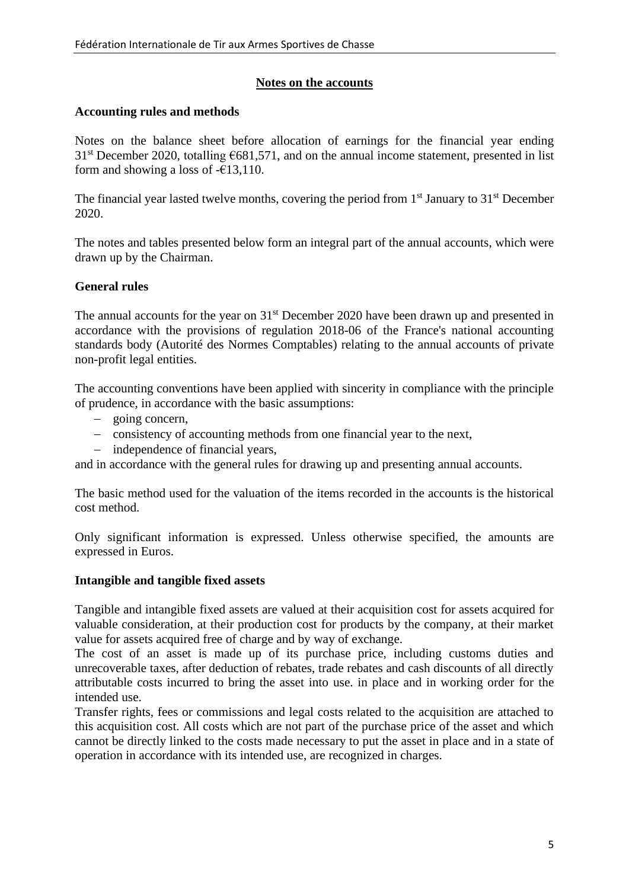# **Notes on the accounts**

## **Accounting rules and methods**

Notes on the balance sheet before allocation of earnings for the financial year ending  $31<sup>st</sup>$  December 2020, totalling  $6681,571$ , and on the annual income statement, presented in list form and showing a loss of  $-\epsilon$ 13,110.

The financial year lasted twelve months, covering the period from  $1<sup>st</sup>$  January to  $31<sup>st</sup>$  December 2020.

The notes and tables presented below form an integral part of the annual accounts, which were drawn up by the Chairman.

# **General rules**

The annual accounts for the year on 31<sup>st</sup> December 2020 have been drawn up and presented in accordance with the provisions of regulation 2018-06 of the France's national accounting standards body (Autorité des Normes Comptables) relating to the annual accounts of private non-profit legal entities.

The accounting conventions have been applied with sincerity in compliance with the principle of prudence, in accordance with the basic assumptions:

- − going concern,
- − consistency of accounting methods from one financial year to the next,
- − independence of financial years,

and in accordance with the general rules for drawing up and presenting annual accounts.

The basic method used for the valuation of the items recorded in the accounts is the historical cost method.

Only significant information is expressed. Unless otherwise specified, the amounts are expressed in Euros.

## **Intangible and tangible fixed assets**

Tangible and intangible fixed assets are valued at their acquisition cost for assets acquired for valuable consideration, at their production cost for products by the company, at their market value for assets acquired free of charge and by way of exchange.

The cost of an asset is made up of its purchase price, including customs duties and unrecoverable taxes, after deduction of rebates, trade rebates and cash discounts of all directly attributable costs incurred to bring the asset into use. in place and in working order for the intended use.

Transfer rights, fees or commissions and legal costs related to the acquisition are attached to this acquisition cost. All costs which are not part of the purchase price of the asset and which cannot be directly linked to the costs made necessary to put the asset in place and in a state of operation in accordance with its intended use, are recognized in charges.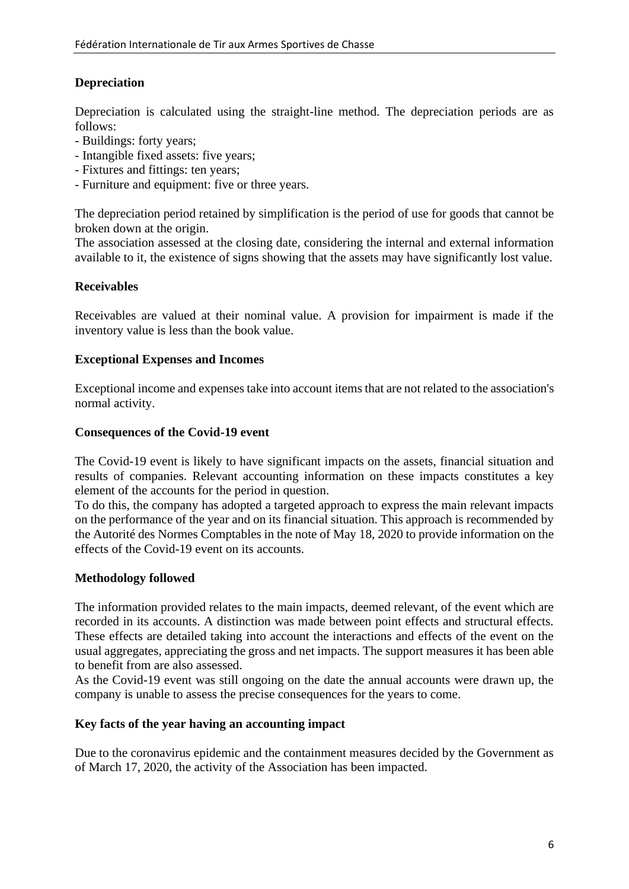# **Depreciation**

Depreciation is calculated using the straight-line method. The depreciation periods are as follows:

- Buildings: forty years;
- Intangible fixed assets: five years;
- Fixtures and fittings: ten years;
- Furniture and equipment: five or three years.

The depreciation period retained by simplification is the period of use for goods that cannot be broken down at the origin.

The association assessed at the closing date, considering the internal and external information available to it, the existence of signs showing that the assets may have significantly lost value.

# **Receivables**

Receivables are valued at their nominal value. A provision for impairment is made if the inventory value is less than the book value.

# **Exceptional Expenses and Incomes**

Exceptional income and expenses take into account items that are not related to the association's normal activity.

## **Consequences of the Covid-19 event**

The Covid-19 event is likely to have significant impacts on the assets, financial situation and results of companies. Relevant accounting information on these impacts constitutes a key element of the accounts for the period in question.

To do this, the company has adopted a targeted approach to express the main relevant impacts on the performance of the year and on its financial situation. This approach is recommended by the Autorité des Normes Comptables in the note of May 18, 2020 to provide information on the effects of the Covid-19 event on its accounts.

## **Methodology followed**

The information provided relates to the main impacts, deemed relevant, of the event which are recorded in its accounts. A distinction was made between point effects and structural effects. These effects are detailed taking into account the interactions and effects of the event on the usual aggregates, appreciating the gross and net impacts. The support measures it has been able to benefit from are also assessed.

As the Covid-19 event was still ongoing on the date the annual accounts were drawn up, the company is unable to assess the precise consequences for the years to come.

## **Key facts of the year having an accounting impact**

Due to the coronavirus epidemic and the containment measures decided by the Government as of March 17, 2020, the activity of the Association has been impacted.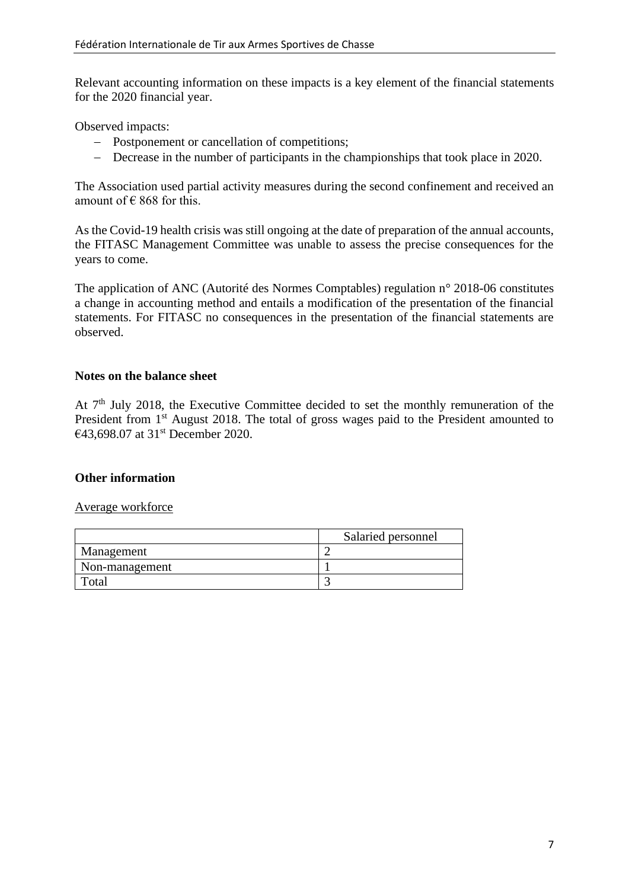Relevant accounting information on these impacts is a key element of the financial statements for the 2020 financial year.

Observed impacts:

- − Postponement or cancellation of competitions;
- − Decrease in the number of participants in the championships that took place in 2020.

The Association used partial activity measures during the second confinement and received an amount of  $\in$  868 for this.

As the Covid-19 health crisis was still ongoing at the date of preparation of the annual accounts, the FITASC Management Committee was unable to assess the precise consequences for the years to come.

The application of ANC (Autorité des Normes Comptables) regulation n° 2018-06 constitutes a change in accounting method and entails a modification of the presentation of the financial statements. For FITASC no consequences in the presentation of the financial statements are observed.

### **Notes on the balance sheet**

At  $7<sup>th</sup>$  July 2018, the Executive Committee decided to set the monthly remuneration of the President from 1<sup>st</sup> August 2018. The total of gross wages paid to the President amounted to €43,698.07 at 31st December 2020.

## **Other information**

### Average workforce

|                | Salaried personnel |
|----------------|--------------------|
| Management     |                    |
| Non-management |                    |
| otal           |                    |